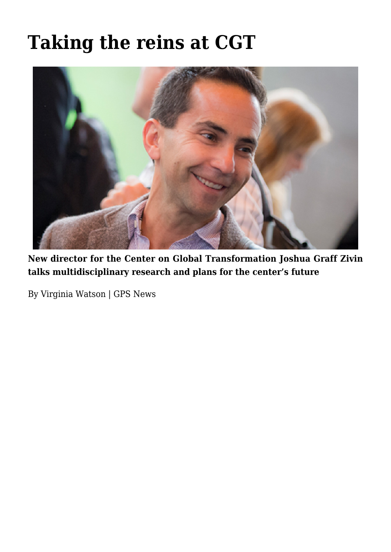# **[Taking the reins at CGT](https://gpsnews.ucsd.edu/taking-the-reins-at-cgt/)**



**New director for the Center on Global Transformation Joshua Graff Zivin talks multidisciplinary research and plans for the center's future**

By Virginia Watson | GPS News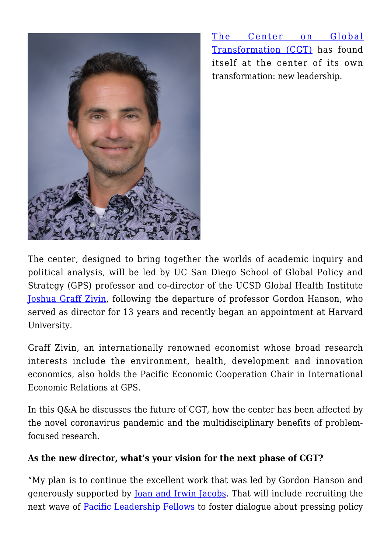

[The Center on Global](https://cgt.ucsd.edu/) [Transformation \(CGT\)](https://cgt.ucsd.edu/) has found itself at the center of its own transformation: new leadership.

The center, designed to bring together the worlds of academic inquiry and political analysis, will be led by UC San Diego School of Global Policy and Strategy (GPS) professor and co-director of the UCSD Global Health Institute [Joshua Graff Zivin,](https://gps.ucsd.edu/faculty-directory/joshua-graff-zivin.html) following the departure of professor Gordon Hanson, who served as director for 13 years and recently began an appointment at Harvard University.

Graff Zivin, an internationally renowned economist whose broad research interests include the environment, health, development and innovation economics, also holds the Pacific Economic Cooperation Chair in International Economic Relations at GPS.

In this Q&A he discusses the future of CGT, how the center has been affected by the novel coronavirus pandemic and the multidisciplinary benefits of problemfocused research.

## **As the new director, what's your vision for the next phase of CGT?**

"My plan is to continue the excellent work that was led by Gordon Hanson and generously supported by [Joan and Irwin Jacobs.](https://cgt.ucsd.edu/about/index.html) That will include recruiting the next wave of [Pacific Leadership Fellows](https://cgt.ucsd.edu/fellows/index.html) to foster dialogue about pressing policy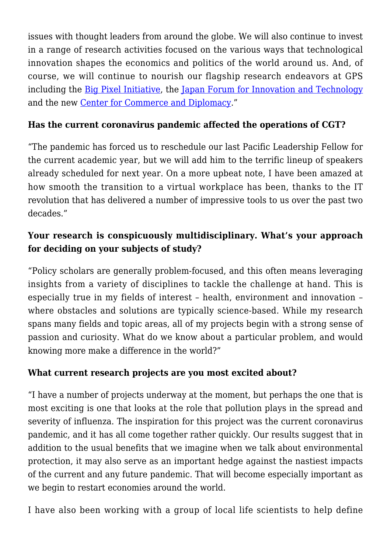issues with thought leaders from around the globe. We will also continue to invest in a range of research activities focused on the various ways that technological innovation shapes the economics and politics of the world around us. And, of course, we will continue to nourish our flagship research endeavors at GPS including the [Big Pixel Initiative](https://bigpixel.ucsd.edu/), the [Japan Forum for Innovation and Technology](https://jfit.ucsd.edu/) and the new [Center for Commerce and Diplomacy.](https://ccd.ucsd.edu/)"

### **Has the current coronavirus pandemic affected the operations of CGT?**

"The pandemic has forced us to reschedule our last Pacific Leadership Fellow for the current academic year, but we will add him to the terrific lineup of speakers already scheduled for next year. On a more upbeat note, I have been amazed at how smooth the transition to a virtual workplace has been, thanks to the IT revolution that has delivered a number of impressive tools to us over the past two decades."

## **Your research is conspicuously multidisciplinary. What's your approach for deciding on your subjects of study?**

"Policy scholars are generally problem-focused, and this often means leveraging insights from a variety of disciplines to tackle the challenge at hand. This is especially true in my fields of interest – health, environment and innovation – where obstacles and solutions are typically science-based. While my research spans many fields and topic areas, all of my projects begin with a strong sense of passion and curiosity. What do we know about a particular problem, and would knowing more make a difference in the world?"

#### **What current research projects are you most excited about?**

"I have a number of projects underway at the moment, but perhaps the one that is most exciting is one that looks at the role that pollution plays in the spread and severity of influenza. The inspiration for this project was the current coronavirus pandemic, and it has all come together rather quickly. Our results suggest that in addition to the usual benefits that we imagine when we talk about environmental protection, it may also serve as an important hedge against the nastiest impacts of the current and any future pandemic. That will become especially important as we begin to restart economies around the world.

I have also been working with a group of local life scientists to help define